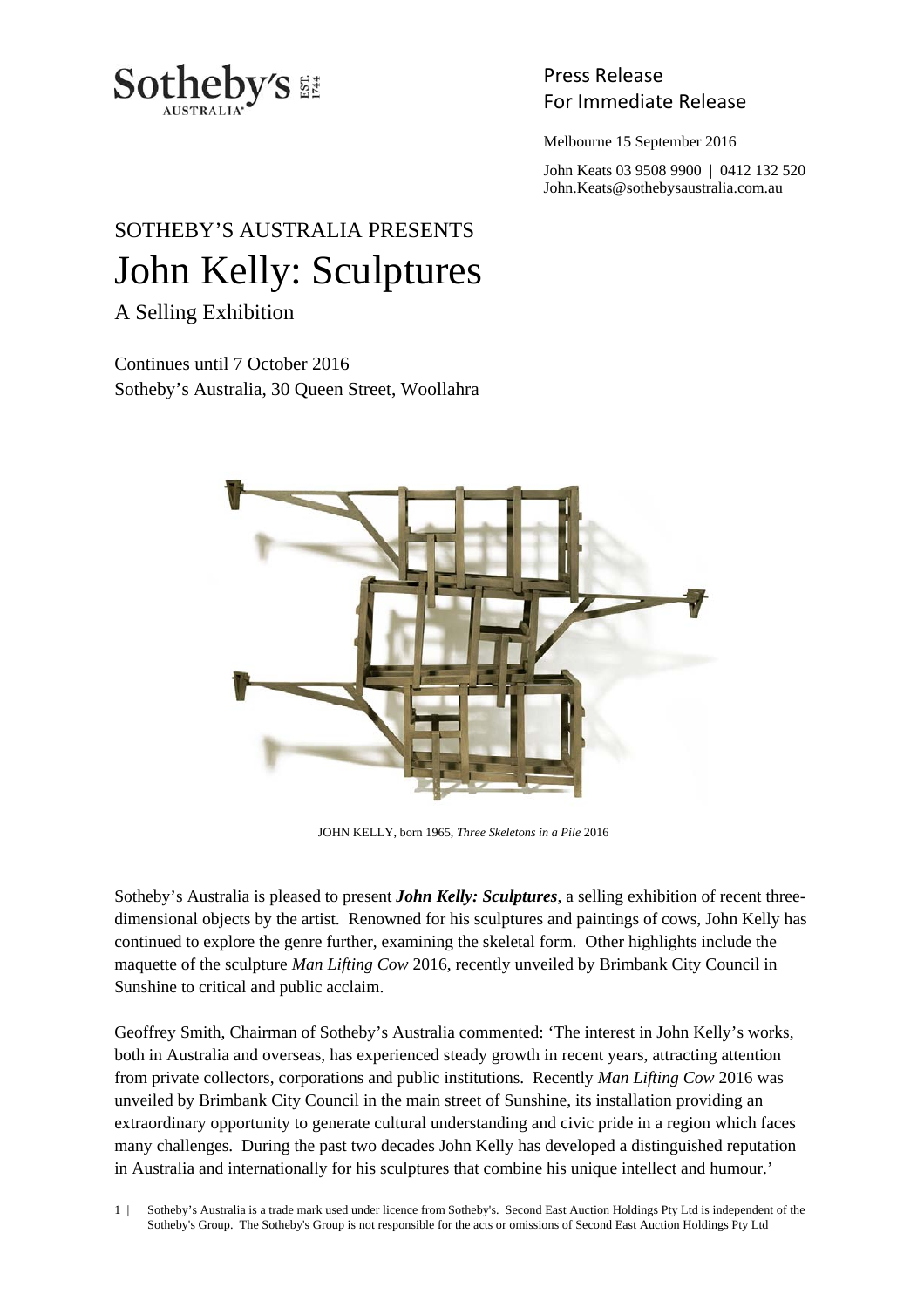

Press Release

Melbourne 15 September 2016

 John Keats 03 9508 9900 | 0412 132 520 John.Keats@sothebysaustralia.com.au

## SOTHEBY'S AUSTRALIA PRESENTS John Kelly: Sculptures

A Selling Exhibition

Continues until 7 October 2016 Sotheby's Australia, 30 Queen Street, Woollahra



JOHN KELLY, born 1965, *Three Skeletons in a Pile* 2016

Sotheby's Australia is pleased to present *John Kelly: Sculptures*, a selling exhibition of recent threedimensional objects by the artist. Renowned for his sculptures and paintings of cows, John Kelly has continued to explore the genre further, examining the skeletal form. Other highlights include the maquette of the sculpture *Man Lifting Cow* 2016, recently unveiled by Brimbank City Council in Sunshine to critical and public acclaim.

Geoffrey Smith, Chairman of Sotheby's Australia commented: 'The interest in John Kelly's works, both in Australia and overseas, has experienced steady growth in recent years, attracting attention from private collectors, corporations and public institutions. Recently *Man Lifting Cow* 2016 was unveiled by Brimbank City Council in the main street of Sunshine, its installation providing an extraordinary opportunity to generate cultural understanding and civic pride in a region which faces many challenges. During the past two decades John Kelly has developed a distinguished reputation in Australia and internationally for his sculptures that combine his unique intellect and humour.'

1 | Sotheby's Australia is a trade mark used under licence from Sotheby's. Second East Auction Holdings Pty Ltd is independent of the Sotheby's Group. The Sotheby's Group is not responsible for the acts or omissions of Second East Auction Holdings Pty Ltd